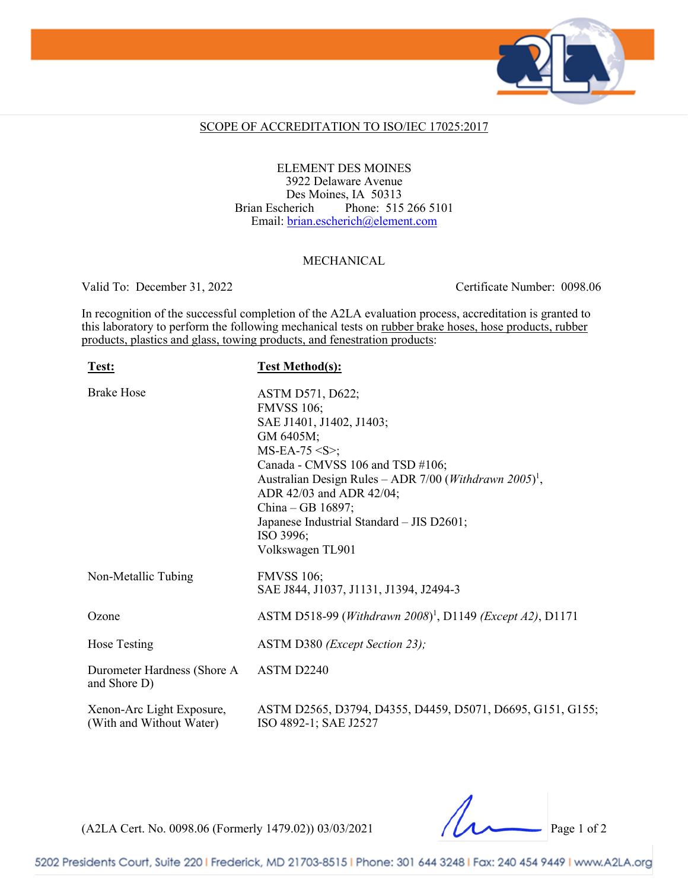

### SCOPE OF ACCREDITATION TO ISO/IEC 17025:2017

ELEMENT DES MOINES 3922 Delaware Avenue Des Moines, IA 50313 Brian Escherich Phone: 515 266 5101 Email: [brian.escherich@element.com](mailto:brian.escherich@element.com)

#### MECHANICAL

Valid To: December 31, 2022 Certificate Number: 0098.06

In recognition of the successful completion of the A2LA evaluation process, accreditation is granted to this laboratory to perform the following mechanical tests on rubber brake hoses, hose products, rubber products, plastics and glass, towing products, and fenestration products:

| Test:                                                 | <b>Test Method(s):</b>                                                                                                                                                                                                                                                                                                                               |
|-------------------------------------------------------|------------------------------------------------------------------------------------------------------------------------------------------------------------------------------------------------------------------------------------------------------------------------------------------------------------------------------------------------------|
| <b>Brake Hose</b>                                     | ASTM D571, D622;<br><b>FMVSS 106;</b><br>SAE J1401, J1402, J1403;<br>GM 6405M;<br>$MS-EA-75 < S$ ;<br>Canada - CMVSS 106 and TSD #106;<br>Australian Design Rules - ADR 7/00 ( <i>Withdrawn 2005</i> ) <sup>1</sup> ,<br>ADR 42/03 and ADR 42/04;<br>China - GB 16897;<br>Japanese Industrial Standard - JIS D2601;<br>ISO 3996;<br>Volkswagen TL901 |
| Non-Metallic Tubing                                   | <b>FMVSS 106;</b><br>SAE J844, J1037, J1131, J1394, J2494-3                                                                                                                                                                                                                                                                                          |
| Ozone                                                 | ASTM D518-99 (Withdrawn 2008) <sup>1</sup> , D1149 (Except A2), D1171                                                                                                                                                                                                                                                                                |
| Hose Testing                                          | ASTM D380 ( <i>Except Section 23</i> );                                                                                                                                                                                                                                                                                                              |
| Durometer Hardness (Shore A<br>and Shore D)           | ASTM D2240                                                                                                                                                                                                                                                                                                                                           |
| Xenon-Arc Light Exposure,<br>(With and Without Water) | ASTM D2565, D3794, D4355, D4459, D5071, D6695, G151, G155;<br>ISO 4892-1; SAE J2527                                                                                                                                                                                                                                                                  |

(A2LA Cert. No. 0098.06 (Formerly 1479.02)) 03/03/2021 Page 1 of 2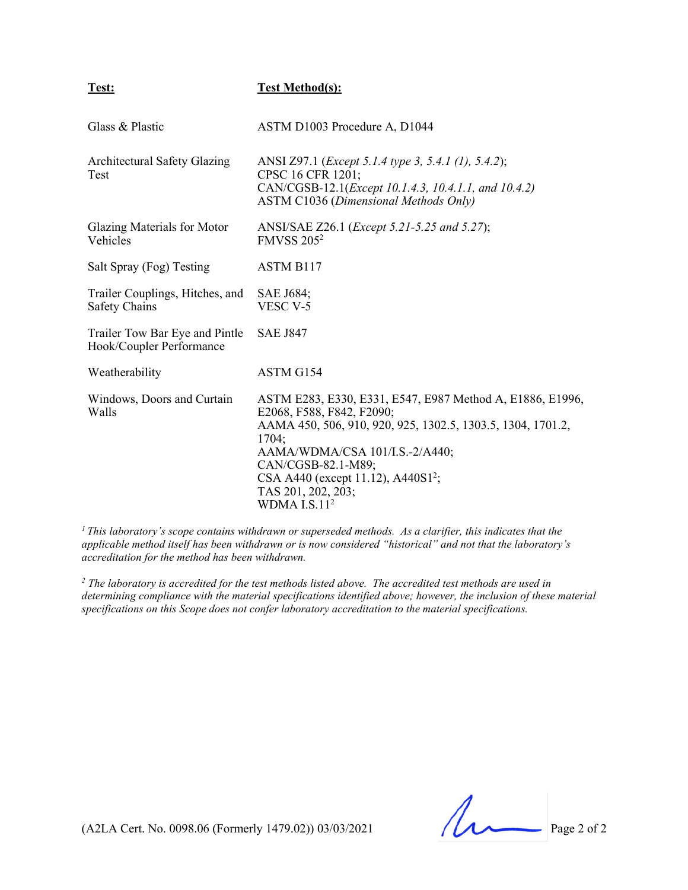### **Test: Test Method(s):**

| Glass & Plastic                                            | ASTM D1003 Procedure A, D1044                                                                                                                                                                                                                                                                                    |
|------------------------------------------------------------|------------------------------------------------------------------------------------------------------------------------------------------------------------------------------------------------------------------------------------------------------------------------------------------------------------------|
| <b>Architectural Safety Glazing</b><br>Test                | ANSI Z97.1 ( <i>Except 5.1.4 type 3, 5.4.1 (1), 5.4.2</i> );<br>CPSC 16 CFR 1201;<br>CAN/CGSB-12.1( <i>Except 10.1.4.3, 10.4.1.1, and 10.4.2</i> )<br><b>ASTM C1036 (Dimensional Methods Only)</b>                                                                                                               |
| Glazing Materials for Motor<br>Vehicles                    | ANSI/SAE Z26.1 ( <i>Except 5.21-5.25 and 5.27</i> );<br><b>FMVSS 205<sup>2</sup></b>                                                                                                                                                                                                                             |
| Salt Spray (Fog) Testing                                   | ASTM B <sub>117</sub>                                                                                                                                                                                                                                                                                            |
| Trailer Couplings, Hitches, and<br><b>Safety Chains</b>    | <b>SAE J684;</b><br>VESC V-5                                                                                                                                                                                                                                                                                     |
| Trailer Tow Bar Eye and Pintle<br>Hook/Coupler Performance | <b>SAE J847</b>                                                                                                                                                                                                                                                                                                  |
| Weatherability                                             | ASTM G154                                                                                                                                                                                                                                                                                                        |
| Windows, Doors and Curtain<br>Walls                        | ASTM E283, E330, E331, E547, E987 Method A, E1886, E1996,<br>E2068, F588, F842, F2090;<br>AAMA 450, 506, 910, 920, 925, 1302.5, 1303.5, 1304, 1701.2,<br>1704;<br>AAMA/WDMA/CSA 101/I.S.-2/A440;<br>CAN/CGSB-82.1-M89;<br>CSA A440 (except 11.12), A440S1 <sup>2</sup> ;<br>TAS 201, 202, 203;<br>WDMA $I.S.112$ |

*<sup>1</sup> This laboratory's scope contains withdrawn or superseded methods. As a clarifier, this indicates that the applicable method itself has been withdrawn or is now considered "historical" and not that the laboratory's accreditation for the method has been withdrawn.* 

*<sup>2</sup> The laboratory is accredited for the test methods listed above. The accredited test methods are used in determining compliance with the material specifications identified above; however, the inclusion of these material specifications on this Scope does not confer laboratory accreditation to the material specifications.*